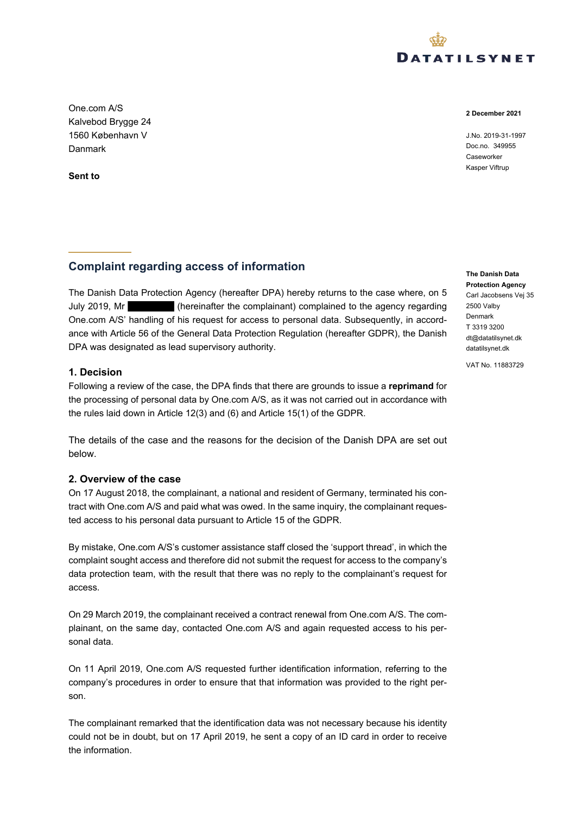

**2 December 2021**

J.No. 2019-31-1997 Doc.no. 349955 Caseworker Kasper Viftrup

Kalvebod Brygge 24 1560 København V Danmark

One.com A/S

**Sent to**

# **Complaint regarding access of information**

The Danish Data Protection Agency (hereafter DPA) hereby returns to the case where, on 5 July 2019, Mr (hereinafter the complainant) complained to the agency regarding One.com A/S' handling of his request for access to personal data. Subsequently, in accordance with Article 56 of the General Data Protection Regulation (hereafter GDPR), the Danish DPA was designated as lead supervisory authority.

#### **1. Decision**

Following a review of the case, the DPA finds that there are grounds to issue a **reprimand** for the processing of personal data by One.com A/S, as it was not carried out in accordance with the rules laid down in Article 12(3) and (6) and Article 15(1) of the GDPR.

The details of the case and the reasons for the decision of the Danish DPA are set out below.

#### **2. Overview of the case**

On 17 August 2018, the complainant, a national and resident of Germany, terminated his contract with One.com A/S and paid what was owed. In the same inquiry, the complainant requested access to his personal data pursuant to Article 15 of the GDPR.

By mistake, One.com A/S's customer assistance staff closed the 'support thread', in which the complaint sought access and therefore did not submit the request for access to the company's data protection team, with the result that there was no reply to the complainant's request for access.

On 29 March 2019, the complainant received a contract renewal from One.com A/S. The complainant, on the same day, contacted One.com A/S and again requested access to his personal data.

On 11 April 2019, One.com A/S requested further identification information, referring to the company's procedures in order to ensure that that information was provided to the right person.

The complainant remarked that the identification data was not necessary because his identity could not be in doubt, but on 17 April 2019, he sent a copy of an ID card in order to receive the information.

**The Danish Data Protection Agency** Carl Jacobsens Vej 35 2500 Valby Denmark T 3319 3200 [dt@datatilsynet.dk](mailto:dt@datatilsynet.dk) [datatilsynet.dk](https://www.datatilsynet.dk/)

VAT No. 11883729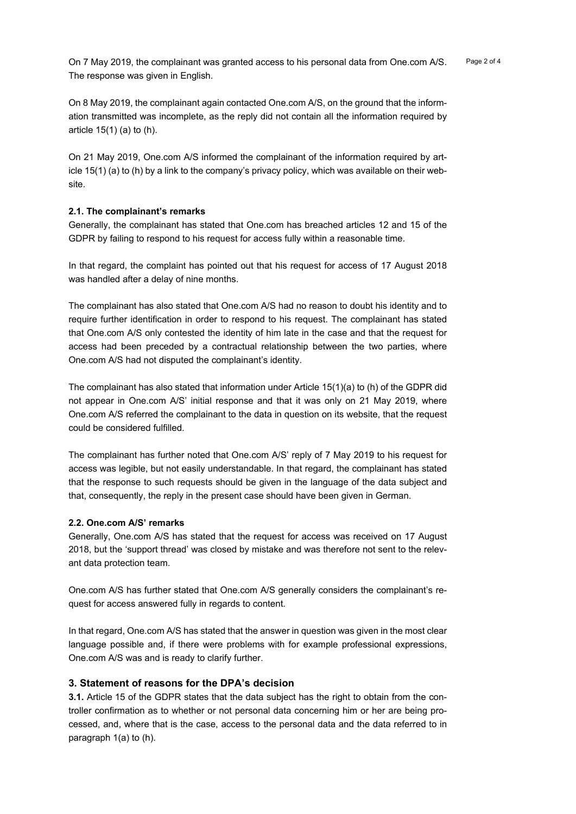On 7 May 2019, the complainant was granted access to his personal data from One.com A/S. Page 2 of 4 The response was given in English.

On 8 May 2019, the complainant again contacted One.com A/S, on the ground that the information transmitted was incomplete, as the reply did not contain all the information required by article 15(1) (a) to (h).

On 21 May 2019, One.com A/S informed the complainant of the information required by article 15(1) (a) to (h) by a link to the company's privacy policy, which was available on their website.

#### **2.1. The complainant's remarks**

Generally, the complainant has stated that One.com has breached articles 12 and 15 of the GDPR by failing to respond to his request for access fully within a reasonable time.

In that regard, the complaint has pointed out that his request for access of 17 August 2018 was handled after a delay of nine months.

The complainant has also stated that One.com A/S had no reason to doubt his identity and to require further identification in order to respond to his request. The complainant has stated that One.com A/S only contested the identity of him late in the case and that the request for access had been preceded by a contractual relationship between the two parties, where One.com A/S had not disputed the complainant's identity.

The complainant has also stated that information under Article 15(1)(a) to (h) of the GDPR did not appear in One.com A/S' initial response and that it was only on 21 May 2019, where One.com A/S referred the complainant to the data in question on its website, that the request could be considered fulfilled.

The complainant has further noted that One.com A/S' reply of 7 May 2019 to his request for access was legible, but not easily understandable. In that regard, the complainant has stated that the response to such requests should be given in the language of the data subject and that, consequently, the reply in the present case should have been given in German.

#### **2.2. One.com A/S' remarks**

Generally, One.com A/S has stated that the request for access was received on 17 August 2018, but the 'support thread' was closed by mistake and was therefore not sent to the relevant data protection team.

One.com A/S has further stated that One.com A/S generally considers the complainant's request for access answered fully in regards to content.

In that regard, One.com A/S has stated that the answer in question was given in the most clear language possible and, if there were problems with for example professional expressions, One.com A/S was and is ready to clarify further.

### **3. Statement of reasons for the DPA's decision**

**3.1.** Article 15 of the GDPR states that the data subject has the right to obtain from the controller confirmation as to whether or not personal data concerning him or her are being processed, and, where that is the case, access to the personal data and the data referred to in paragraph 1(a) to (h).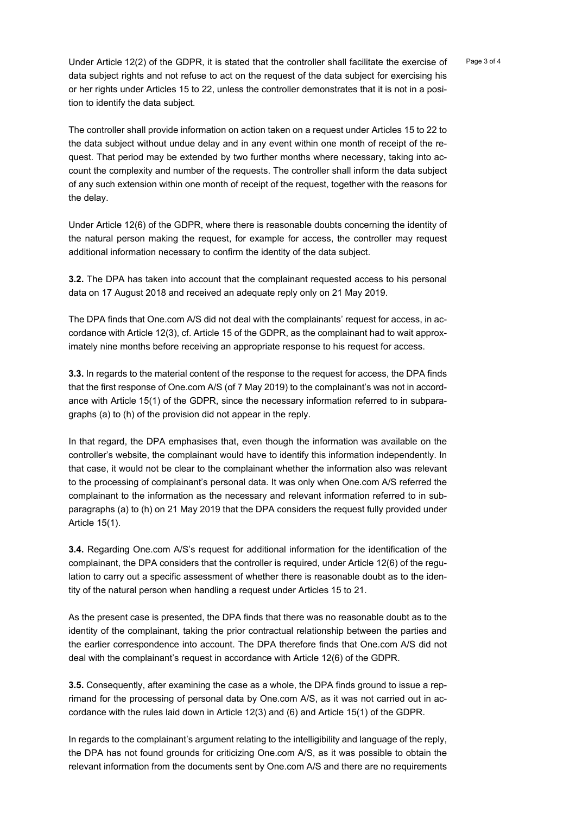Under Article 12(2) of the GDPR, it is stated that the controller shall facilitate the exercise of Page 3 of 4 data subject rights and not refuse to act on the request of the data subject for exercising his or her rights under Articles 15 to 22, unless the controller demonstrates that it is not in a position to identify the data subject.

The controller shall provide information on action taken on a request under Articles 15 to 22 to the data subject without undue delay and in any event within one month of receipt of the request. That period may be extended by two further months where necessary, taking into account the complexity and number of the requests. The controller shall inform the data subject of any such extension within one month of receipt of the request, together with the reasons for the delay.

Under Article 12(6) of the GDPR, where there is reasonable doubts concerning the identity of the natural person making the request, for example for access, the controller may request additional information necessary to confirm the identity of the data subject.

**3.2.** The DPA has taken into account that the complainant requested access to his personal data on 17 August 2018 and received an adequate reply only on 21 May 2019.

The DPA finds that One.com A/S did not deal with the complainants' request for access, in accordance with Article 12(3), cf. Article 15 of the GDPR, as the complainant had to wait approximately nine months before receiving an appropriate response to his request for access.

**3.3.** In regards to the material content of the response to the request for access, the DPA finds that the first response of One.com A/S (of 7 May 2019) to the complainant's was not in accordance with Article 15(1) of the GDPR, since the necessary information referred to in subparagraphs (a) to (h) of the provision did not appear in the reply.

In that regard, the DPA emphasises that, even though the information was available on the controller's website, the complainant would have to identify this information independently. In that case, it would not be clear to the complainant whether the information also was relevant to the processing of complainant's personal data. It was only when One.com A/S referred the complainant to the information as the necessary and relevant information referred to in subparagraphs (a) to (h) on 21 May 2019 that the DPA considers the request fully provided under Article 15(1).

**3.4.** Regarding One.com A/S's request for additional information for the identification of the complainant, the DPA considers that the controller is required, under Article 12(6) of the regulation to carry out a specific assessment of whether there is reasonable doubt as to the identity of the natural person when handling a request under Articles 15 to 21.

As the present case is presented, the DPA finds that there was no reasonable doubt as to the identity of the complainant, taking the prior contractual relationship between the parties and the earlier correspondence into account. The DPA therefore finds that One.com A/S did not deal with the complainant's request in accordance with Article 12(6) of the GDPR.

**3.5.** Consequently, after examining the case as a whole, the DPA finds ground to issue a reprimand for the processing of personal data by One.com A/S, as it was not carried out in accordance with the rules laid down in Article 12(3) and (6) and Article 15(1) of the GDPR.

In regards to the complainant's argument relating to the intelligibility and language of the reply, the DPA has not found grounds for criticizing One.com A/S, as it was possible to obtain the relevant information from the documents sent by One.com A/S and there are no requirements